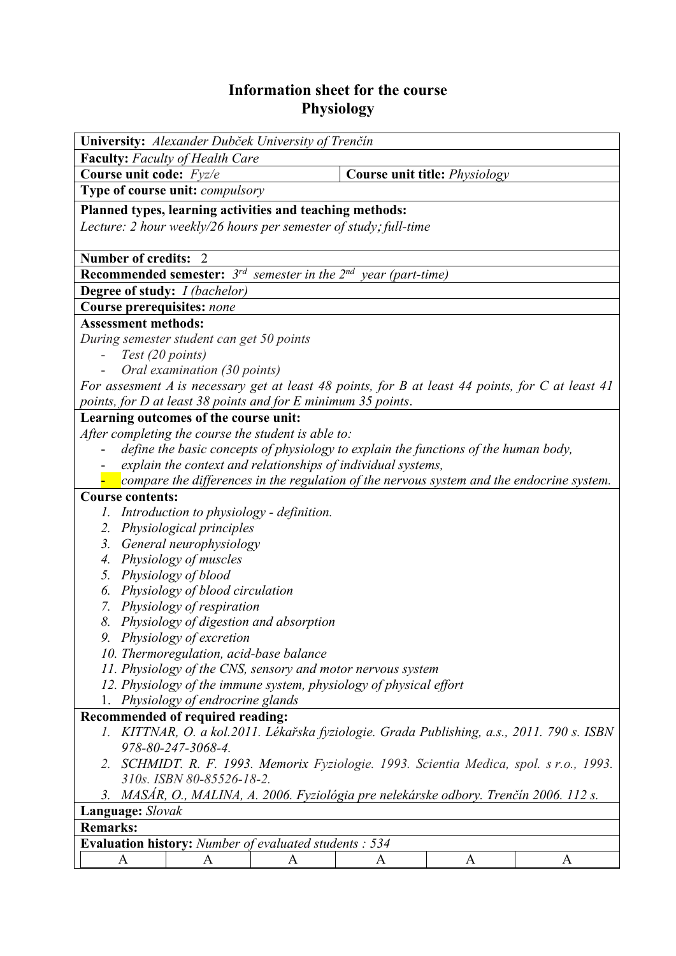## **Information sheet for the course Physiology**

| University: Alexander Dubček University of Trenčín                                                                                                        |                                                               |   |   |                               |   |  |  |  |
|-----------------------------------------------------------------------------------------------------------------------------------------------------------|---------------------------------------------------------------|---|---|-------------------------------|---|--|--|--|
| <b>Faculty:</b> Faculty of Health Care                                                                                                                    |                                                               |   |   |                               |   |  |  |  |
| Course unit code: Fyz/e                                                                                                                                   |                                                               |   |   | Course unit title: Physiology |   |  |  |  |
|                                                                                                                                                           | Type of course unit: <i>compulsory</i>                        |   |   |                               |   |  |  |  |
| Planned types, learning activities and teaching methods:                                                                                                  |                                                               |   |   |                               |   |  |  |  |
| Lecture: 2 hour weekly/26 hours per semester of study; full-time                                                                                          |                                                               |   |   |                               |   |  |  |  |
|                                                                                                                                                           |                                                               |   |   |                               |   |  |  |  |
| <b>Number of credits:</b><br>- 2                                                                                                                          |                                                               |   |   |                               |   |  |  |  |
| <b>Recommended semester:</b> $3^{rd}$ semester in the $2^{nd}$ year (part-time)                                                                           |                                                               |   |   |                               |   |  |  |  |
| <b>Degree of study:</b> <i>I (bachelor)</i>                                                                                                               |                                                               |   |   |                               |   |  |  |  |
| Course prerequisites: none                                                                                                                                |                                                               |   |   |                               |   |  |  |  |
| <b>Assessment methods:</b>                                                                                                                                |                                                               |   |   |                               |   |  |  |  |
| During semester student can get 50 points                                                                                                                 |                                                               |   |   |                               |   |  |  |  |
| Test (20 points)                                                                                                                                          |                                                               |   |   |                               |   |  |  |  |
|                                                                                                                                                           | Oral examination (30 points)                                  |   |   |                               |   |  |  |  |
| For assesment A is necessary get at least 48 points, for B at least 44 points, for C at least 41                                                          |                                                               |   |   |                               |   |  |  |  |
| points, for D at least 38 points and for E minimum 35 points.                                                                                             |                                                               |   |   |                               |   |  |  |  |
|                                                                                                                                                           | Learning outcomes of the course unit:                         |   |   |                               |   |  |  |  |
|                                                                                                                                                           | After completing the course the student is able to:           |   |   |                               |   |  |  |  |
| define the basic concepts of physiology to explain the functions of the human body,                                                                       |                                                               |   |   |                               |   |  |  |  |
| explain the context and relationships of individual systems,<br>compare the differences in the regulation of the nervous system and the endocrine system. |                                                               |   |   |                               |   |  |  |  |
|                                                                                                                                                           |                                                               |   |   |                               |   |  |  |  |
| <b>Course contents:</b>                                                                                                                                   |                                                               |   |   |                               |   |  |  |  |
| 1. Introduction to physiology - definition.<br>2. Physiological principles                                                                                |                                                               |   |   |                               |   |  |  |  |
| 3.                                                                                                                                                        |                                                               |   |   |                               |   |  |  |  |
|                                                                                                                                                           | General neurophysiology                                       |   |   |                               |   |  |  |  |
| 4. Physiology of muscles                                                                                                                                  |                                                               |   |   |                               |   |  |  |  |
| 5. Physiology of blood                                                                                                                                    |                                                               |   |   |                               |   |  |  |  |
| Physiology of blood circulation<br>6.<br>7. Physiology of respiration                                                                                     |                                                               |   |   |                               |   |  |  |  |
| 8. Physiology of digestion and absorption                                                                                                                 |                                                               |   |   |                               |   |  |  |  |
| 9. Physiology of excretion                                                                                                                                |                                                               |   |   |                               |   |  |  |  |
| 10. Thermoregulation, acid-base balance                                                                                                                   |                                                               |   |   |                               |   |  |  |  |
| 11. Physiology of the CNS, sensory and motor nervous system                                                                                               |                                                               |   |   |                               |   |  |  |  |
| 12. Physiology of the immune system, physiology of physical effort                                                                                        |                                                               |   |   |                               |   |  |  |  |
| 1. Physiology of endrocrine glands                                                                                                                        |                                                               |   |   |                               |   |  |  |  |
| Recommended of required reading:                                                                                                                          |                                                               |   |   |                               |   |  |  |  |
| 1. KITTNAR, O. a kol.2011. Lékařska fyziologie. Grada Publishing, a.s., 2011. 790 s. ISBN                                                                 |                                                               |   |   |                               |   |  |  |  |
| 978-80-247-3068-4.                                                                                                                                        |                                                               |   |   |                               |   |  |  |  |
| 2. SCHMIDT. R. F. 1993. Memorix Fyziologie. 1993. Scientia Medica, spol. s r.o., 1993.                                                                    |                                                               |   |   |                               |   |  |  |  |
| 310s. ISBN 80-85526-18-2.                                                                                                                                 |                                                               |   |   |                               |   |  |  |  |
| 3. MASÁR, O., MALINA, A. 2006. Fyziológia pre nelekárske odbory. Trenčín 2006. 112 s.                                                                     |                                                               |   |   |                               |   |  |  |  |
| Language: Slovak                                                                                                                                          |                                                               |   |   |                               |   |  |  |  |
| <b>Remarks:</b>                                                                                                                                           |                                                               |   |   |                               |   |  |  |  |
|                                                                                                                                                           | <b>Evaluation history:</b> Number of evaluated students : 534 |   |   |                               |   |  |  |  |
| $\mathbf{A}$                                                                                                                                              | A                                                             | A | A | A                             | A |  |  |  |